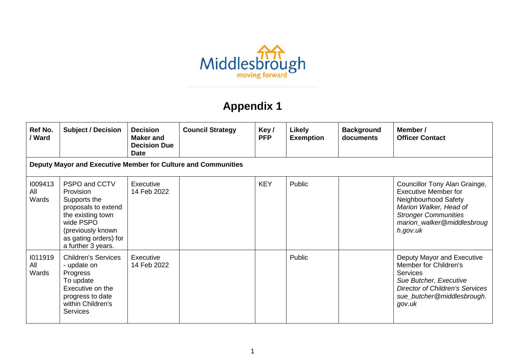

## **Appendix 1**

| Ref No.<br>/ Ward       | <b>Subject / Decision</b>                                                                                                                                               | <b>Decision</b><br>Maker and<br><b>Decision Due</b><br><b>Date</b> | <b>Council Strategy</b> | Key/<br><b>PFP</b> | <b>Likely</b><br><b>Exemption</b> | <b>Background</b><br>documents | Member /<br><b>Officer Contact</b>                                                                                                                                                      |
|-------------------------|-------------------------------------------------------------------------------------------------------------------------------------------------------------------------|--------------------------------------------------------------------|-------------------------|--------------------|-----------------------------------|--------------------------------|-----------------------------------------------------------------------------------------------------------------------------------------------------------------------------------------|
|                         | Deputy Mayor and Executive Member for Culture and Communities                                                                                                           |                                                                    |                         |                    |                                   |                                |                                                                                                                                                                                         |
| 1009413<br>All<br>Wards | PSPO and CCTV<br>Provision<br>Supports the<br>proposals to extend<br>the existing town<br>wide PSPO<br>(previously known<br>as gating orders) for<br>a further 3 years. | <b>Executive</b><br>14 Feb 2022                                    |                         | <b>KEY</b>         | Public                            |                                | Councillor Tony Alan Grainge,<br><b>Executive Member for</b><br>Neighbourhood Safety<br>Marion Walker, Head of<br><b>Stronger Communities</b><br>marion_walker@middlesbroug<br>h.gov.uk |
| 1011919<br>All<br>Wards | <b>Children's Services</b><br>- update on<br>Progress<br>To update<br>Executive on the<br>progress to date<br>within Children's<br><b>Services</b>                      | Executive<br>14 Feb 2022                                           |                         |                    | Public                            |                                | Deputy Mayor and Executive<br>Member for Children's<br><b>Services</b><br>Sue Butcher, Executive<br><b>Director of Children's Services</b><br>sue_butcher@middlesbrough.<br>gov.uk      |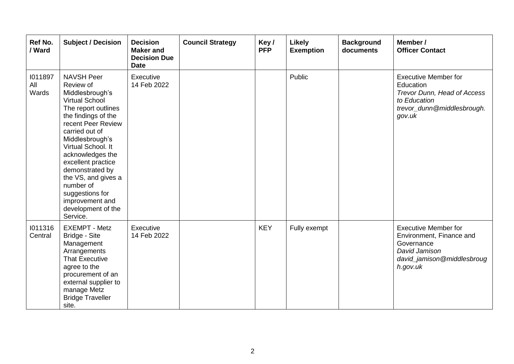| Ref No.<br>/ Ward       | <b>Subject / Decision</b>                                                                                                                                                                                                                                                                                                                                                          | <b>Decision</b><br><b>Maker</b> and<br><b>Decision Due</b><br><b>Date</b> | <b>Council Strategy</b> | Key/<br><b>PFP</b> | <b>Likely</b><br><b>Exemption</b> | <b>Background</b><br>documents | Member /<br><b>Officer Contact</b>                                                                                               |
|-------------------------|------------------------------------------------------------------------------------------------------------------------------------------------------------------------------------------------------------------------------------------------------------------------------------------------------------------------------------------------------------------------------------|---------------------------------------------------------------------------|-------------------------|--------------------|-----------------------------------|--------------------------------|----------------------------------------------------------------------------------------------------------------------------------|
| 1011897<br>All<br>Wards | <b>NAVSH Peer</b><br>Review of<br>Middlesbrough's<br><b>Virtual School</b><br>The report outlines<br>the findings of the<br>recent Peer Review<br>carried out of<br>Middlesbrough's<br>Virtual School. It<br>acknowledges the<br>excellent practice<br>demonstrated by<br>the VS, and gives a<br>number of<br>suggestions for<br>improvement and<br>development of the<br>Service. | Executive<br>14 Feb 2022                                                  |                         |                    | Public                            |                                | <b>Executive Member for</b><br>Education<br>Trevor Dunn, Head of Access<br>to Education<br>trevor_dunn@middlesbrough.<br>gov.uk  |
| 1011316<br>Central      | <b>EXEMPT - Metz</b><br><b>Bridge - Site</b><br>Management<br>Arrangements<br><b>That Executive</b><br>agree to the<br>procurement of an<br>external supplier to<br>manage Metz<br><b>Bridge Traveller</b><br>site.                                                                                                                                                                | Executive<br>14 Feb 2022                                                  |                         | <b>KEY</b>         | Fully exempt                      |                                | <b>Executive Member for</b><br>Environment, Finance and<br>Governance<br>David Jamison<br>david_jamison@middlesbroug<br>h.gov.uk |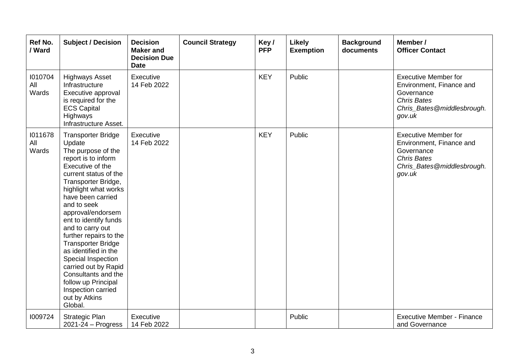| Ref No.<br>/ Ward       | <b>Subject / Decision</b>                                                                                                                                                                                                                                                                                                                                                                                                                                                                                       | <b>Decision</b><br><b>Maker and</b><br><b>Decision Due</b><br><b>Date</b> | <b>Council Strategy</b> | Key/<br><b>PFP</b> | <b>Likely</b><br><b>Exemption</b> | <b>Background</b><br>documents | Member /<br><b>Officer Contact</b>                                                                                                  |
|-------------------------|-----------------------------------------------------------------------------------------------------------------------------------------------------------------------------------------------------------------------------------------------------------------------------------------------------------------------------------------------------------------------------------------------------------------------------------------------------------------------------------------------------------------|---------------------------------------------------------------------------|-------------------------|--------------------|-----------------------------------|--------------------------------|-------------------------------------------------------------------------------------------------------------------------------------|
| 1010704<br>All<br>Wards | <b>Highways Asset</b><br>Infrastructure<br>Executive approval<br>is required for the<br><b>ECS Capital</b><br>Highways<br>Infrastructure Asset.                                                                                                                                                                                                                                                                                                                                                                 | Executive<br>14 Feb 2022                                                  |                         | <b>KEY</b>         | Public                            |                                | <b>Executive Member for</b><br>Environment, Finance and<br>Governance<br><b>Chris Bates</b><br>Chris_Bates@middlesbrough.<br>gov.uk |
| 1011678<br>All<br>Wards | <b>Transporter Bridge</b><br>Update<br>The purpose of the<br>report is to inform<br>Executive of the<br>current status of the<br>Transporter Bridge,<br>highlight what works<br>have been carried<br>and to seek<br>approval/endorsem<br>ent to identify funds<br>and to carry out<br>further repairs to the<br><b>Transporter Bridge</b><br>as identified in the<br>Special Inspection<br>carried out by Rapid<br>Consultants and the<br>follow up Principal<br>Inspection carried<br>out by Atkins<br>Global. | Executive<br>14 Feb 2022                                                  |                         | <b>KEY</b>         | Public                            |                                | <b>Executive Member for</b><br>Environment, Finance and<br>Governance<br><b>Chris Bates</b><br>Chris_Bates@middlesbrough.<br>gov.uk |
| 1009724                 | <b>Strategic Plan</b><br>$2021 - 24 - Progress$                                                                                                                                                                                                                                                                                                                                                                                                                                                                 | Executive<br>14 Feb 2022                                                  |                         |                    | Public                            |                                | <b>Executive Member - Finance</b><br>and Governance                                                                                 |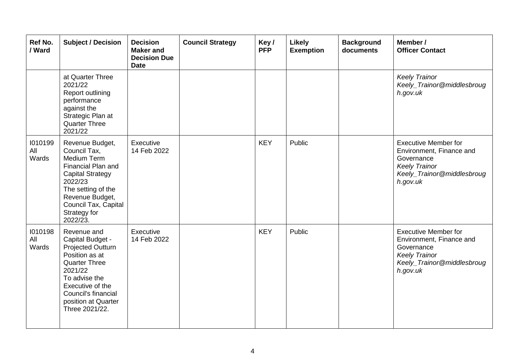| Ref No.<br>/ Ward       | <b>Subject / Decision</b>                                                                                                                                                                                             | <b>Decision</b><br><b>Maker</b> and<br><b>Decision Due</b><br><b>Date</b> | <b>Council Strategy</b> | Key/<br><b>PFP</b> | <b>Likely</b><br><b>Exemption</b> | <b>Background</b><br>documents | Member /<br><b>Officer Contact</b>                                                                                                      |
|-------------------------|-----------------------------------------------------------------------------------------------------------------------------------------------------------------------------------------------------------------------|---------------------------------------------------------------------------|-------------------------|--------------------|-----------------------------------|--------------------------------|-----------------------------------------------------------------------------------------------------------------------------------------|
|                         | at Quarter Three<br>2021/22<br><b>Report outlining</b><br>performance<br>against the<br>Strategic Plan at<br><b>Quarter Three</b><br>2021/22                                                                          |                                                                           |                         |                    |                                   |                                | <b>Keely Trainor</b><br>Keely_Trainor@middlesbroug<br>h.gov.uk                                                                          |
| 1010199<br>All<br>Wards | Revenue Budget,<br>Council Tax,<br><b>Medium Term</b><br><b>Financial Plan and</b><br><b>Capital Strategy</b><br>2022/23<br>The setting of the<br>Revenue Budget,<br>Council Tax, Capital<br>Strategy for<br>2022/23. | Executive<br>14 Feb 2022                                                  |                         | <b>KEY</b>         | Public                            |                                | <b>Executive Member for</b><br>Environment, Finance and<br>Governance<br><b>Keely Trainor</b><br>Keely_Trainor@middlesbroug<br>h.gov.uk |
| 1010198<br>All<br>Wards | Revenue and<br>Capital Budget -<br>Projected Outturn<br>Position as at<br><b>Quarter Three</b><br>2021/22<br>To advise the<br>Executive of the<br>Council's financial<br>position at Quarter<br>Three 2021/22.        | Executive<br>14 Feb 2022                                                  |                         | <b>KEY</b>         | Public                            |                                | <b>Executive Member for</b><br>Environment, Finance and<br>Governance<br><b>Keely Trainor</b><br>Keely_Trainor@middlesbroug<br>h.gov.uk |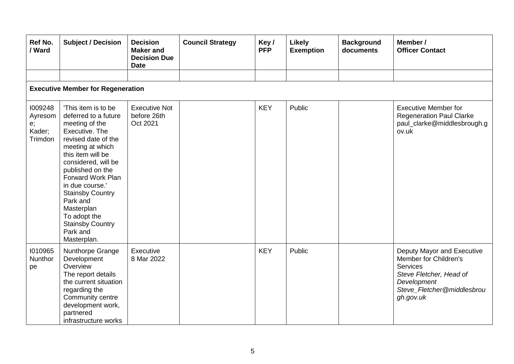| Ref No.<br>/ Ward                             | <b>Subject / Decision</b>                                                                                                                                                                                                                                                                                                                                            | <b>Decision</b><br><b>Maker and</b><br><b>Decision Due</b><br><b>Date</b> | <b>Council Strategy</b> | Key/<br><b>PFP</b> | <b>Likely</b><br><b>Exemption</b> | <b>Background</b><br>documents | Member /<br><b>Officer Contact</b>                                                                                                                          |  |  |  |
|-----------------------------------------------|----------------------------------------------------------------------------------------------------------------------------------------------------------------------------------------------------------------------------------------------------------------------------------------------------------------------------------------------------------------------|---------------------------------------------------------------------------|-------------------------|--------------------|-----------------------------------|--------------------------------|-------------------------------------------------------------------------------------------------------------------------------------------------------------|--|--|--|
|                                               | <b>Executive Member for Regeneration</b>                                                                                                                                                                                                                                                                                                                             |                                                                           |                         |                    |                                   |                                |                                                                                                                                                             |  |  |  |
| 1009248<br>Ayresom<br>e;<br>Kader;<br>Trimdon | 'This item is to be<br>deferred to a future<br>meeting of the<br>Executive. The<br>revised date of the<br>meeting at which<br>this item will be<br>considered, will be<br>published on the<br><b>Forward Work Plan</b><br>in due course.'<br><b>Stainsby Country</b><br>Park and<br>Masterplan<br>To adopt the<br><b>Stainsby Country</b><br>Park and<br>Masterplan. | <b>Executive Not</b><br>before 26th<br>Oct 2021                           |                         | <b>KEY</b>         | Public                            |                                | <b>Executive Member for</b><br><b>Regeneration Paul Clarke</b><br>paul_clarke@middlesbrough.g<br>ov.uk                                                      |  |  |  |
| 1010965<br><b>Nunthor</b><br>pe               | Nunthorpe Grange<br>Development<br>Overview<br>The report details<br>the current situation<br>regarding the<br>Community centre<br>development work,<br>partnered<br>infrastructure works                                                                                                                                                                            | Executive<br>8 Mar 2022                                                   |                         | <b>KEY</b>         | Public                            |                                | Deputy Mayor and Executive<br>Member for Children's<br><b>Services</b><br>Steve Fletcher, Head of<br>Development<br>Steve_Fletcher@middlesbrou<br>gh.gov.uk |  |  |  |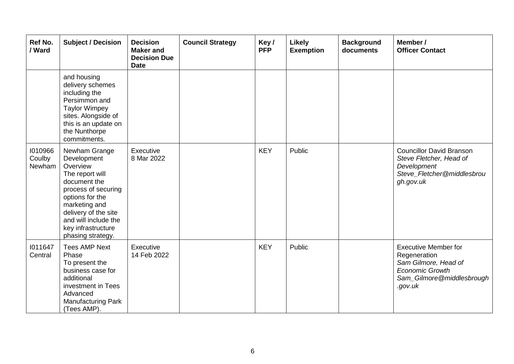| Ref No.<br>/ Ward           | <b>Subject / Decision</b>                                                                                                                                                                                                         | <b>Decision</b><br><b>Maker and</b><br><b>Decision Due</b><br><b>Date</b> | <b>Council Strategy</b> | Key/<br><b>PFP</b> | <b>Likely</b><br><b>Exemption</b> | <b>Background</b><br>documents | Member /<br><b>Officer Contact</b>                                                                                                    |
|-----------------------------|-----------------------------------------------------------------------------------------------------------------------------------------------------------------------------------------------------------------------------------|---------------------------------------------------------------------------|-------------------------|--------------------|-----------------------------------|--------------------------------|---------------------------------------------------------------------------------------------------------------------------------------|
|                             | and housing<br>delivery schemes<br>including the<br>Persimmon and<br><b>Taylor Wimpey</b><br>sites. Alongside of<br>this is an update on<br>the Nunthorpe<br>commitments.                                                         |                                                                           |                         |                    |                                   |                                |                                                                                                                                       |
| 1010966<br>Coulby<br>Newham | Newham Grange<br>Development<br>Overview<br>The report will<br>document the<br>process of securing<br>options for the<br>marketing and<br>delivery of the site<br>and will include the<br>key infrastructure<br>phasing strategy. | Executive<br>8 Mar 2022                                                   |                         | <b>KEY</b>         | Public                            |                                | <b>Councillor David Branson</b><br>Steve Fletcher, Head of<br>Development<br>Steve_Fletcher@middlesbrou<br>gh.gov.uk                  |
| 1011647<br>Central          | <b>Tees AMP Next</b><br>Phase<br>To present the<br>business case for<br>additional<br>investment in Tees<br>Advanced<br>Manufacturing Park<br>(Tees AMP).                                                                         | Executive<br>14 Feb 2022                                                  |                         | <b>KEY</b>         | Public                            |                                | <b>Executive Member for</b><br>Regeneration<br>Sam Gilmore, Head of<br><b>Economic Growth</b><br>Sam_Gilmore@middlesbrough<br>.gov.uk |